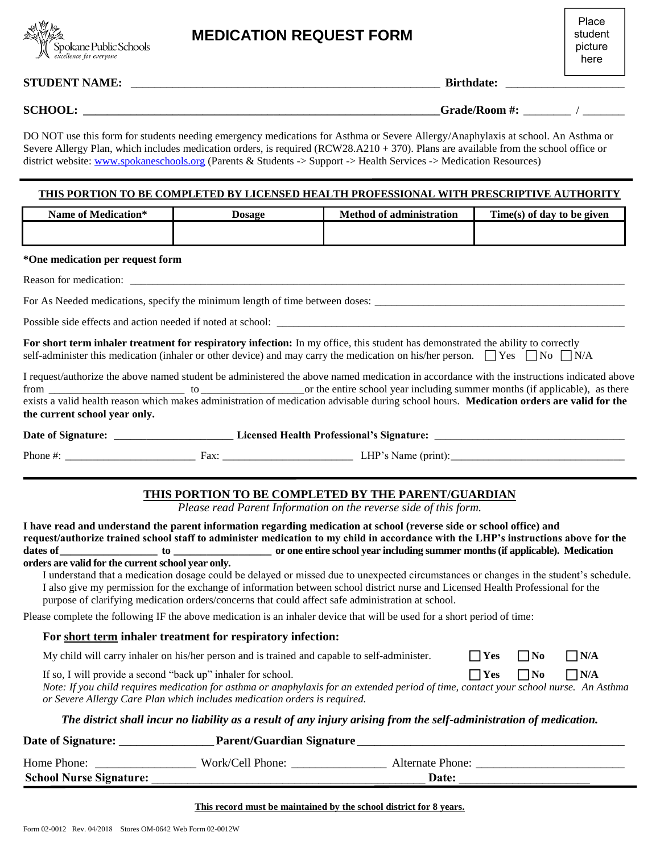

Place student picture here

#### **STUDENT NAME:** \_\_\_\_\_\_\_\_\_\_\_\_\_\_\_\_\_\_\_\_\_\_\_\_\_\_\_\_\_\_\_\_\_\_\_\_\_\_\_\_\_\_\_\_\_\_\_\_\_\_\_\_ **Birthdate:** \_\_\_\_\_\_\_\_\_\_\_\_\_\_\_\_\_\_\_\_

**SCHOOL:** Grade/Room #:  $\qquad \qquad$  /

DO NOT use this form for students needing emergency medications for Asthma or Severe Allergy/Anaphylaxis at school. An Asthma or Severe Allergy Plan, which includes medication orders, is required (RCW28.A210 + 370). Plans are available from the school office or district website[: www.spokaneschools.org \(](http://www.spokaneschools.org/)Parents & Students -> Support -> Health Services -> Medication Resources)

#### **THIS PORTION TO BE COMPLETED BY LICENSED HEALTH PROFESSIONAL WITH PRESCRIPTIVE AUTHORITY**

| Name of Medication*                                                                                                                                                                                                                                                           | <b>Dosage</b>                                                                                     | <b>Method of administration</b>                                                                                                                                                                                                                                            |              |           | Time(s) of day to be given |
|-------------------------------------------------------------------------------------------------------------------------------------------------------------------------------------------------------------------------------------------------------------------------------|---------------------------------------------------------------------------------------------------|----------------------------------------------------------------------------------------------------------------------------------------------------------------------------------------------------------------------------------------------------------------------------|--------------|-----------|----------------------------|
| *One medication per request form                                                                                                                                                                                                                                              |                                                                                                   |                                                                                                                                                                                                                                                                            |              |           |                            |
|                                                                                                                                                                                                                                                                               |                                                                                                   |                                                                                                                                                                                                                                                                            |              |           |                            |
|                                                                                                                                                                                                                                                                               |                                                                                                   |                                                                                                                                                                                                                                                                            |              |           |                            |
|                                                                                                                                                                                                                                                                               |                                                                                                   |                                                                                                                                                                                                                                                                            |              |           |                            |
| For short term inhaler treatment for respiratory infection: In my office, this student has demonstrated the ability to correctly<br>self-administer this medication (inhaler or other device) and may carry the medication on his/her person. $\Box$ Yes $\Box$ No $\Box$ N/A |                                                                                                   |                                                                                                                                                                                                                                                                            |              |           |                            |
| I request/authorize the above named student be administered the above named medication in accordance with the instructions indicated above<br>the current school year only.                                                                                                   |                                                                                                   |                                                                                                                                                                                                                                                                            |              |           |                            |
|                                                                                                                                                                                                                                                                               |                                                                                                   |                                                                                                                                                                                                                                                                            |              |           |                            |
|                                                                                                                                                                                                                                                                               |                                                                                                   |                                                                                                                                                                                                                                                                            |              |           |                            |
| I have read and understand the parent information regarding medication at school (reverse side or school office) and<br>request/authorize trained school staff to administer medication to my child in accordance with the LHP's instructions above for the                   |                                                                                                   | Please read Parent Information on the reverse side of this form.                                                                                                                                                                                                           |              |           |                            |
| orders are valid for the current school year only.                                                                                                                                                                                                                            | purpose of clarifying medication orders/concerns that could affect safe administration at school. | I understand that a medication dosage could be delayed or missed due to unexpected circumstances or changes in the student's schedule.<br>I also give my permission for the exchange of information between school district nurse and Licensed Health Professional for the |              |           |                            |
| Please complete the following IF the above medication is an inhaler device that will be used for a short period of time:                                                                                                                                                      |                                                                                                   |                                                                                                                                                                                                                                                                            |              |           |                            |
|                                                                                                                                                                                                                                                                               | For short term inhaler treatment for respiratory infection:                                       |                                                                                                                                                                                                                                                                            |              |           |                            |
|                                                                                                                                                                                                                                                                               | My child will carry inhaler on his/her person and is trained and capable to self-administer.      |                                                                                                                                                                                                                                                                            | $\Box$ Yes   | $\Box$ No | $\Box$ N/A                 |
| If so, I will provide a second "back up" inhaler for school.                                                                                                                                                                                                                  | or Severe Allergy Care Plan which includes medication orders is required.                         | Note: If you child requires medication for asthma or anaphylaxis for an extended period of time, contact your school nurse. An Asthma                                                                                                                                      | $\Gamma$ Yes | $\Box$ No | $\Box$ N/A                 |
|                                                                                                                                                                                                                                                                               |                                                                                                   | The district shall incur no liability as a result of any injury arising from the self-administration of medication.                                                                                                                                                        |              |           |                            |
| <b>Date of Signature:</b>                                                                                                                                                                                                                                                     | <b>Parent/Guardian Signature</b>                                                                  |                                                                                                                                                                                                                                                                            |              |           |                            |

| <b>School Nurse Signature:</b> |                  | Date:            |  |
|--------------------------------|------------------|------------------|--|
| Home Phone:                    | Work/Cell Phone: | Alternate Phone: |  |
|                                |                  |                  |  |

#### **This record must be maintained by the school district for 8 years.**